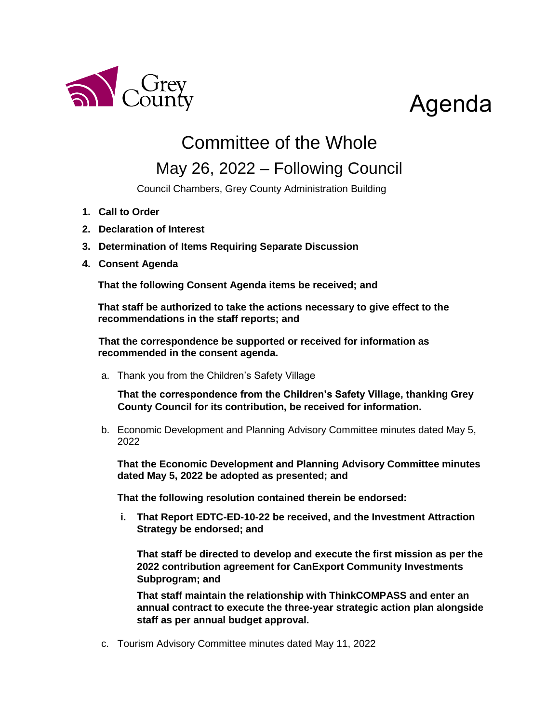

# Agenda

## Committee of the Whole

### May 26, 2022 – Following Council

Council Chambers, Grey County Administration Building

- **1. Call to Order**
- **2. Declaration of Interest**
- **3. Determination of Items Requiring Separate Discussion**
- **4. Consent Agenda**

**That the following Consent Agenda items be received; and**

**That staff be authorized to take the actions necessary to give effect to the recommendations in the staff reports; and**

**That the correspondence be supported or received for information as recommended in the consent agenda.**

a. Thank you from the Children's Safety Village

**That the correspondence from the Children's Safety Village, thanking Grey County Council for its contribution, be received for information.** 

b. Economic Development and Planning Advisory Committee minutes dated May 5, 2022

**That the Economic Development and Planning Advisory Committee minutes dated May 5, 2022 be adopted as presented; and**

**That the following resolution contained therein be endorsed:**

**i. That Report EDTC-ED-10-22 be received, and the Investment Attraction Strategy be endorsed; and**

**That staff be directed to develop and execute the first mission as per the 2022 contribution agreement for CanExport Community Investments Subprogram; and** 

**That staff maintain the relationship with ThinkCOMPASS and enter an annual contract to execute the three-year strategic action plan alongside staff as per annual budget approval.** 

c. Tourism Advisory Committee minutes dated May 11, 2022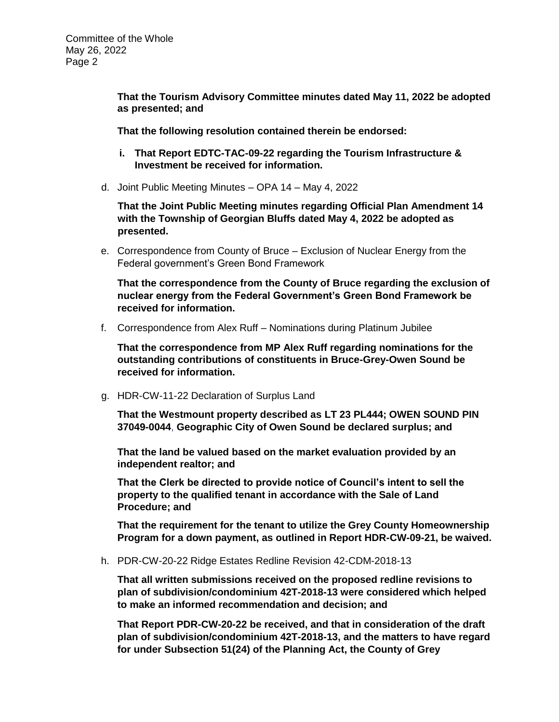**That the Tourism Advisory Committee minutes dated May 11, 2022 be adopted as presented; and**

**That the following resolution contained therein be endorsed:**

- **i. That Report EDTC-TAC-09-22 regarding the Tourism Infrastructure & Investment be received for information.**
- d. Joint Public Meeting Minutes OPA 14 May 4, 2022

**That the Joint Public Meeting minutes regarding Official Plan Amendment 14 with the Township of Georgian Bluffs dated May 4, 2022 be adopted as presented.** 

e. Correspondence from County of Bruce – Exclusion of Nuclear Energy from the Federal government's Green Bond Framework

**That the correspondence from the County of Bruce regarding the exclusion of nuclear energy from the Federal Government's Green Bond Framework be received for information.** 

f. Correspondence from Alex Ruff – Nominations during Platinum Jubilee

**That the correspondence from MP Alex Ruff regarding nominations for the outstanding contributions of constituents in Bruce-Grey-Owen Sound be received for information.** 

g. HDR-CW-11-22 Declaration of Surplus Land

**That the Westmount property described as LT 23 PL444; OWEN SOUND PIN 37049-0044**, **Geographic City of Owen Sound be declared surplus; and**

**That the land be valued based on the market evaluation provided by an independent realtor; and**

**That the Clerk be directed to provide notice of Council's intent to sell the property to the qualified tenant in accordance with the Sale of Land Procedure; and**

**That the requirement for the tenant to utilize the Grey County Homeownership Program for a down payment, as outlined in Report HDR-CW-09-21, be waived.**

h. PDR-CW-20-22 Ridge Estates Redline Revision 42-CDM-2018-13

**That all written submissions received on the proposed redline revisions to plan of subdivision/condominium 42T-2018-13 were considered which helped to make an informed recommendation and decision; and**

**That Report PDR-CW-20-22 be received, and that in consideration of the draft plan of subdivision/condominium 42T-2018-13, and the matters to have regard for under Subsection 51(24) of the Planning Act, the County of Grey**